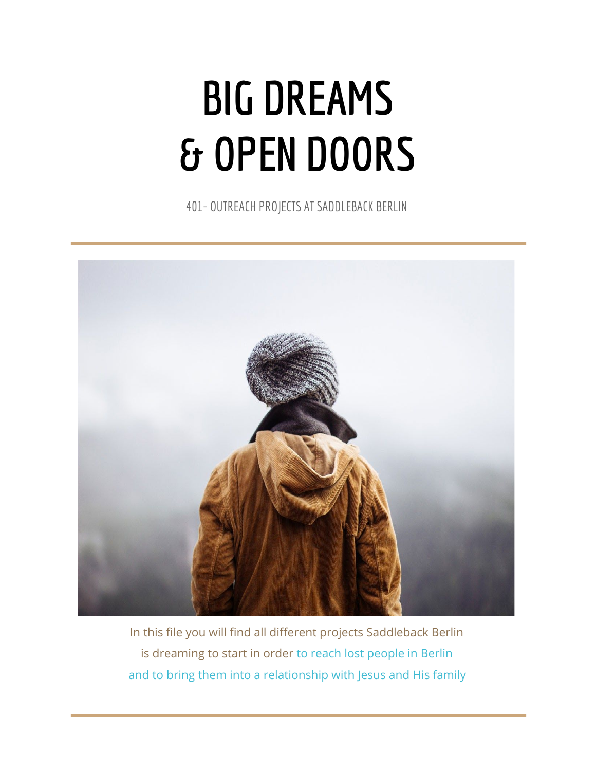# **BIG DREAMS & OPEN DOORS**

401- OUTREACH PROJECTS AT SADDLEBACK BERLIN



In this file you will find all different projects Saddleback Berlin is dreaming to start in order to reach lost people in Berlin and to bring them into a relationship with Jesus and His family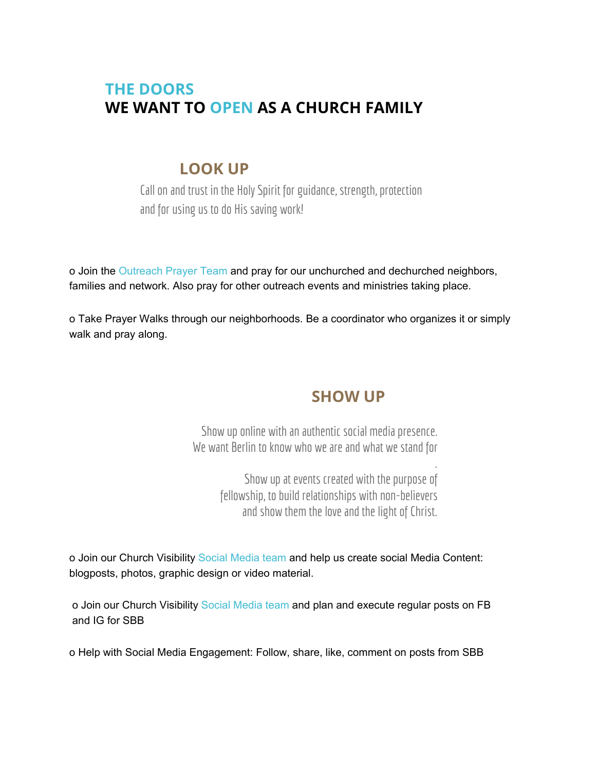## **THE DOORS WE WANT TO OPEN AS A CHURCH FAMILY**

#### **LOOK UP**

Call on and trust in the Holy Spirit for guidance, strength, protection and for using us to do His saving work!

o Join the Outreach Prayer Team and pray for our unchurched and dechurched neighbors, families and network. Also pray for other outreach events and ministries taking place.

o Take Prayer Walks through our neighborhoods. Be a coordinator who organizes it or simply walk and pray along.

## **SHOW UP**

Show up online with an authentic social media presence. We want Berlin to know who we are and what we stand for

> . Show up at events created with the purpose of fellowship, to build relationships with non-believers and show them the love and the light of Christ.

o Join our Church Visibility Social Media team and help us create social Media Content: blogposts, photos, graphic design or video material.

o Join our Church Visibility Social Media team and plan and execute regular posts on FB and IG for SBB

o Help with Social Media Engagement: Follow, share, like, comment on posts from SBB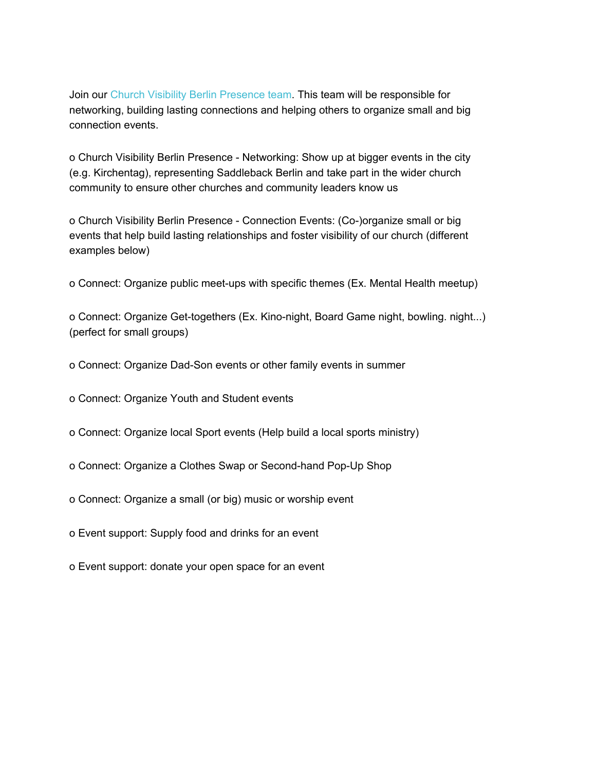Join our Church Visibility Berlin Presence team. This team will be responsible for networking, building lasting connections and helping others to organize small and big connection events.

o Church Visibility Berlin Presence - Networking: Show up at bigger events in the city (e.g. Kirchentag), representing Saddleback Berlin and take part in the wider church community to ensure other churches and community leaders know us

o Church Visibility Berlin Presence - Connection Events: (Co-)organize small or big events that help build lasting relationships and foster visibility of our church (different examples below)

o Connect: Organize public meet-ups with specific themes (Ex. Mental Health meetup)

o Connect: Organize Get-togethers (Ex. Kino-night, Board Game night, bowling. night...) (perfect for small groups)

o Connect: Organize Dad-Son events or other family events in summer

o Connect: Organize Youth and Student events

o Connect: Organize local Sport events (Help build a local sports ministry)

- o Connect: Organize a Clothes Swap or Second-hand Pop-Up Shop
- o Connect: Organize a small (or big) music or worship event
- o Event support: Supply food and drinks for an event
- o Event support: donate your open space for an event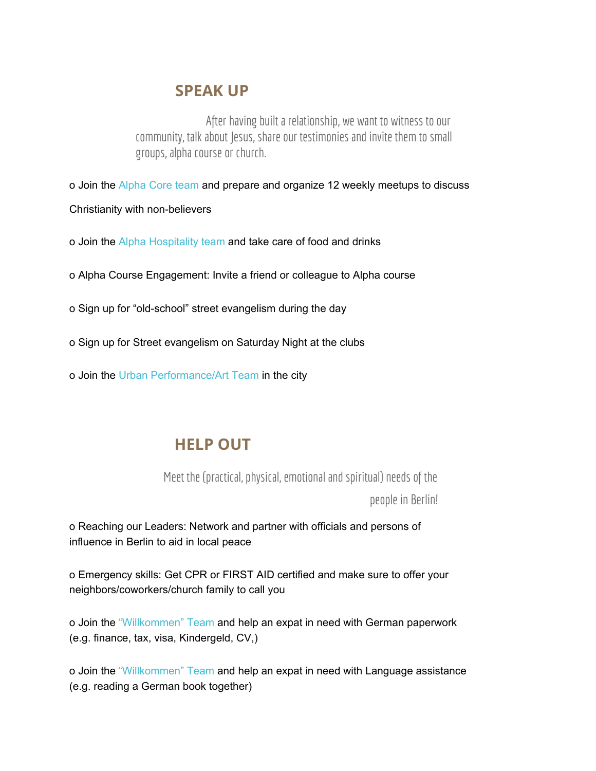#### **SPEAK UP**

After having built a relationship, we want to witness to our community, talk about Jesus, share our testimonies and invite them to small groups, alpha course or church.

o Join the Alpha Core team and prepare and organize 12 weekly meetups to discuss

- Christianity with non-believers
- o Join the Alpha Hospitality team and take care of food and drinks
- o Alpha Course Engagement: Invite a friend or colleague to Alpha course
- o Sign up for "old-school" street evangelism during the day
- o Sign up for Street evangelism on Saturday Night at the clubs
- o Join the Urban Performance/Art Team in the city

# **HELP OUT**

Meet the (practical, physical, emotional and spiritual) needs of the

people in Berlin!

o Reaching our Leaders: Network and partner with officials and persons of influence in Berlin to aid in local peace

o Emergency skills: Get CPR or FIRST AID certified and make sure to offer your neighbors/coworkers/church family to call you

o Join the "Willkommen" Team and help an expat in need with German paperwork (e.g. finance, tax, visa, Kindergeld, CV,)

o Join the "Willkommen" Team and help an expat in need with Language assistance (e.g. reading a German book together)